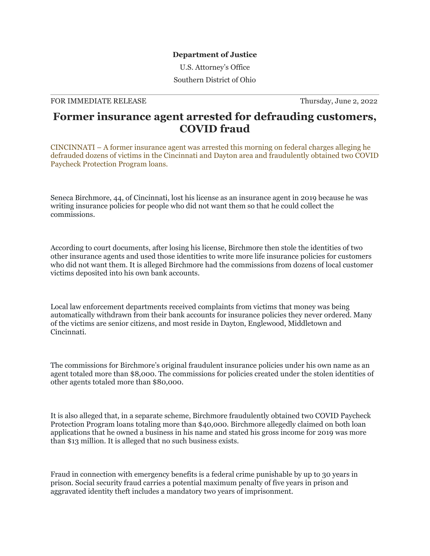## **Department of Justice**

U.S. Attorney's Office

Southern District of Ohio

## FOR IMMEDIATE RELEASE Thursday, June 2, 2022

## **Former insurance agent arrested for defrauding customers, COVID fraud**

CINCINNATI – A former insurance agent was arrested this morning on federal charges alleging he defrauded dozens of victims in the Cincinnati and Dayton area and fraudulently obtained two COVID Paycheck Protection Program loans.

Seneca Birchmore, 44, of Cincinnati, lost his license as an insurance agent in 2019 because he was writing insurance policies for people who did not want them so that he could collect the commissions.

According to court documents, after losing his license, Birchmore then stole the identities of two other insurance agents and used those identities to write more life insurance policies for customers who did not want them. It is alleged Birchmore had the commissions from dozens of local customer victims deposited into his own bank accounts.

Local law enforcement departments received complaints from victims that money was being automatically withdrawn from their bank accounts for insurance policies they never ordered. Many of the victims are senior citizens, and most reside in Dayton, Englewood, Middletown and Cincinnati.

The commissions for Birchmore's original fraudulent insurance policies under his own name as an agent totaled more than \$8,000. The commissions for policies created under the stolen identities of other agents totaled more than \$80,000.

It is also alleged that, in a separate scheme, Birchmore fraudulently obtained two COVID Paycheck Protection Program loans totaling more than \$40,000. Birchmore allegedly claimed on both loan applications that he owned a business in his name and stated his gross income for 2019 was more than \$13 million. It is alleged that no such business exists.

Fraud in connection with emergency benefits is a federal crime punishable by up to 30 years in prison. Social security fraud carries a potential maximum penalty of five years in prison and aggravated identity theft includes a mandatory two years of imprisonment.